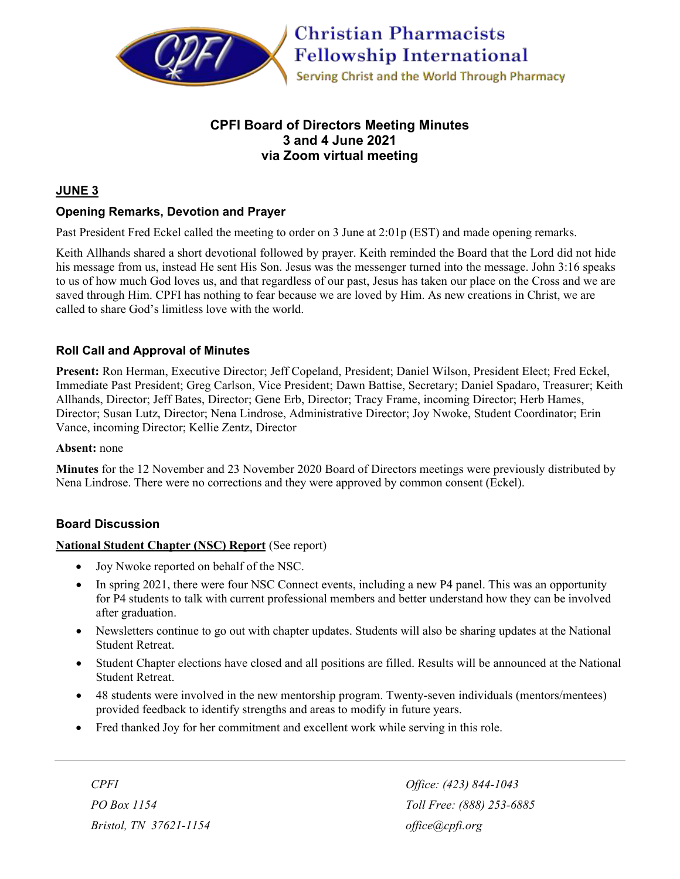

# **CPFI Board of Directors Meeting Minutes 3 and 4 June 2021 via Zoom virtual meeting**

# **JUNE 3**

# **Opening Remarks, Devotion and Prayer**

Past President Fred Eckel called the meeting to order on 3 June at 2:01p (EST) and made opening remarks.

Keith Allhands shared a short devotional followed by prayer. Keith reminded the Board that the Lord did not hide his message from us, instead He sent His Son. Jesus was the messenger turned into the message. John 3:16 speaks to us of how much God loves us, and that regardless of our past, Jesus has taken our place on the Cross and we are saved through Him. CPFI has nothing to fear because we are loved by Him. As new creations in Christ, we are called to share God's limitless love with the world.

# **Roll Call and Approval of Minutes**

**Present:** Ron Herman, Executive Director; Jeff Copeland, President; Daniel Wilson, President Elect; Fred Eckel, Immediate Past President; Greg Carlson, Vice President; Dawn Battise, Secretary; Daniel Spadaro, Treasurer; Keith Allhands, Director; Jeff Bates, Director; Gene Erb, Director; Tracy Frame, incoming Director; Herb Hames, Director; Susan Lutz, Director; Nena Lindrose, Administrative Director; Joy Nwoke, Student Coordinator; Erin Vance, incoming Director; Kellie Zentz, Director

#### **Absent:** none

**Minutes** for the 12 November and 23 November 2020 Board of Directors meetings were previously distributed by Nena Lindrose. There were no corrections and they were approved by common consent (Eckel).

## **Board Discussion**

#### **National Student Chapter (NSC) Report** (See report)

- Joy Nwoke reported on behalf of the NSC.
- In spring 2021, there were four NSC Connect events, including a new P4 panel. This was an opportunity for P4 students to talk with current professional members and better understand how they can be involved after graduation.
- Newsletters continue to go out with chapter updates. Students will also be sharing updates at the National Student Retreat.
- Student Chapter elections have closed and all positions are filled. Results will be announced at the National Student Retreat.
- 48 students were involved in the new mentorship program. Twenty-seven individuals (mentors/mentees) provided feedback to identify strengths and areas to modify in future years.
- Fred thanked Joy for her commitment and excellent work while serving in this role.

*Bristol, TN 37621-1154 [office@cpfi.org](mailto:office@cpfi.org)*

*CPFI Office: (423) 844-1043 PO Box 1154 Toll Free: (888) 253-6885*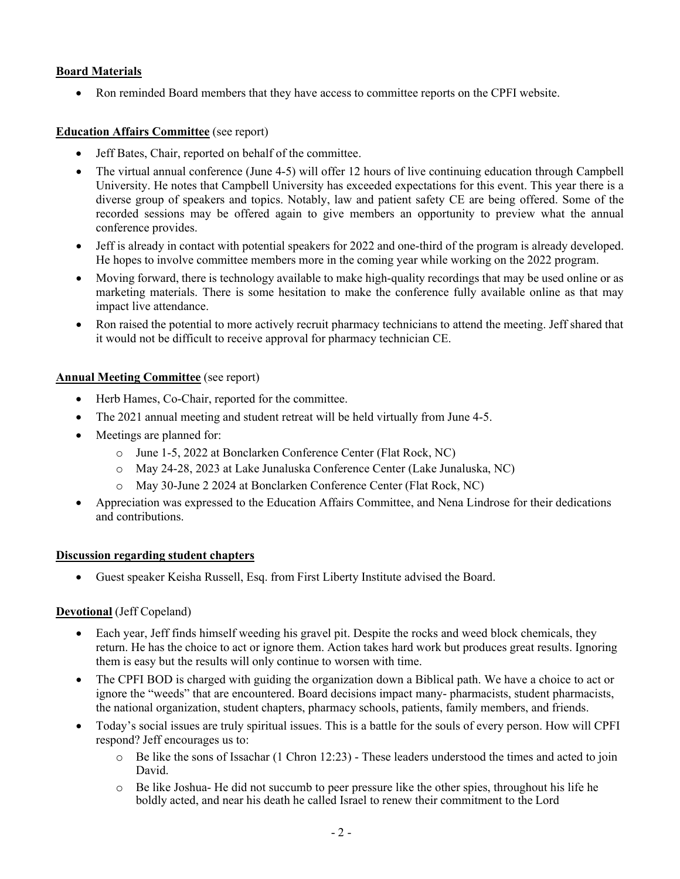## **Board Materials**

• Ron reminded Board members that they have access to committee reports on the CPFI website.

### **Education Affairs Committee** (see report)

- Jeff Bates, Chair, reported on behalf of the committee.
- The virtual annual conference (June 4-5) will offer 12 hours of live continuing education through Campbell University. He notes that Campbell University has exceeded expectations for this event. This year there is a diverse group of speakers and topics. Notably, law and patient safety CE are being offered. Some of the recorded sessions may be offered again to give members an opportunity to preview what the annual conference provides.
- Jeff is already in contact with potential speakers for 2022 and one-third of the program is already developed. He hopes to involve committee members more in the coming year while working on the 2022 program.
- Moving forward, there is technology available to make high-quality recordings that may be used online or as marketing materials. There is some hesitation to make the conference fully available online as that may impact live attendance.
- Ron raised the potential to more actively recruit pharmacy technicians to attend the meeting. Jeff shared that it would not be difficult to receive approval for pharmacy technician CE.

### **Annual Meeting Committee** (see report)

- Herb Hames, Co-Chair, reported for the committee.
- The 2021 annual meeting and student retreat will be held virtually from June 4-5.
- Meetings are planned for:
	- o June 1-5, 2022 at Bonclarken Conference Center (Flat Rock, NC)
	- o May 24-28, 2023 at Lake Junaluska Conference Center (Lake Junaluska, NC)
	- o May 30-June 2 2024 at Bonclarken Conference Center (Flat Rock, NC)
- Appreciation was expressed to the Education Affairs Committee, and Nena Lindrose for their dedications and contributions.

#### **Discussion regarding student chapters**

• Guest speaker Keisha Russell, Esq. from First Liberty Institute advised the Board.

#### **Devotional** (Jeff Copeland)

- Each year, Jeff finds himself weeding his gravel pit. Despite the rocks and weed block chemicals, they return. He has the choice to act or ignore them. Action takes hard work but produces great results. Ignoring them is easy but the results will only continue to worsen with time.
- The CPFI BOD is charged with guiding the organization down a Biblical path. We have a choice to act or ignore the "weeds" that are encountered. Board decisions impact many- pharmacists, student pharmacists, the national organization, student chapters, pharmacy schools, patients, family members, and friends.
- Today's social issues are truly spiritual issues. This is a battle for the souls of every person. How will CPFI respond? Jeff encourages us to:
	- Be like the sons of Issachar (1 Chron 12:23) These leaders understood the times and acted to join David.
	- o Be like Joshua- He did not succumb to peer pressure like the other spies, throughout his life he boldly acted, and near his death he called Israel to renew their commitment to the Lord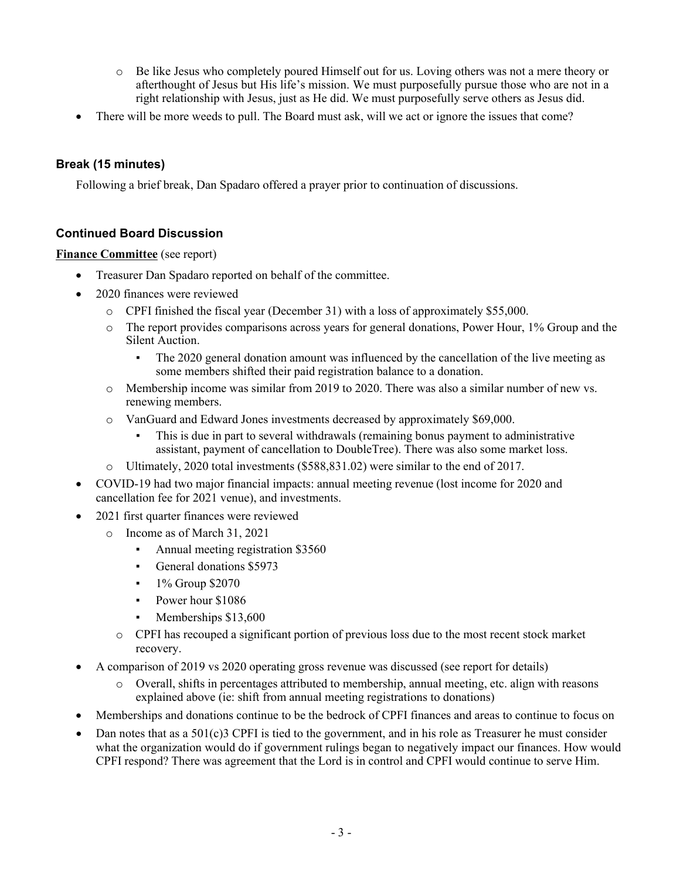- o Be like Jesus who completely poured Himself out for us. Loving others was not a mere theory or afterthought of Jesus but His life's mission. We must purposefully pursue those who are not in a right relationship with Jesus, just as He did. We must purposefully serve others as Jesus did.
- There will be more weeds to pull. The Board must ask, will we act or ignore the issues that come?

# **Break (15 minutes)**

Following a brief break, Dan Spadaro offered a prayer prior to continuation of discussions.

## **Continued Board Discussion**

### **Finance Committee** (see report)

- Treasurer Dan Spadaro reported on behalf of the committee.
- 2020 finances were reviewed
	- o CPFI finished the fiscal year (December 31) with a loss of approximately \$55,000.
	- $\circ$  The report provides comparisons across years for general donations, Power Hour, 1% Group and the Silent Auction.
		- The 2020 general donation amount was influenced by the cancellation of the live meeting as some members shifted their paid registration balance to a donation.
	- o Membership income was similar from 2019 to 2020. There was also a similar number of new vs. renewing members.
	- o VanGuard and Edward Jones investments decreased by approximately \$69,000.
		- This is due in part to several withdrawals (remaining bonus payment to administrative assistant, payment of cancellation to DoubleTree). There was also some market loss.
	- o Ultimately, 2020 total investments (\$588,831.02) were similar to the end of 2017.
- COVID-19 had two major financial impacts: annual meeting revenue (lost income for 2020 and cancellation fee for 2021 venue), and investments.
- 2021 first quarter finances were reviewed
	- o Income as of March 31, 2021
		- Annual meeting registration \$3560
		- General donations \$5973
		- $\cdot$  1% Group \$2070
		- Power hour \$1086
		- Memberships \$13,600
		- o CPFI has recouped a significant portion of previous loss due to the most recent stock market recovery.
- A comparison of 2019 vs 2020 operating gross revenue was discussed (see report for details)
	- o Overall, shifts in percentages attributed to membership, annual meeting, etc. align with reasons explained above (ie: shift from annual meeting registrations to donations)
- Memberships and donations continue to be the bedrock of CPFI finances and areas to continue to focus on
- Dan notes that as a  $501(c)3$  CPFI is tied to the government, and in his role as Treasurer he must consider what the organization would do if government rulings began to negatively impact our finances. How would CPFI respond? There was agreement that the Lord is in control and CPFI would continue to serve Him.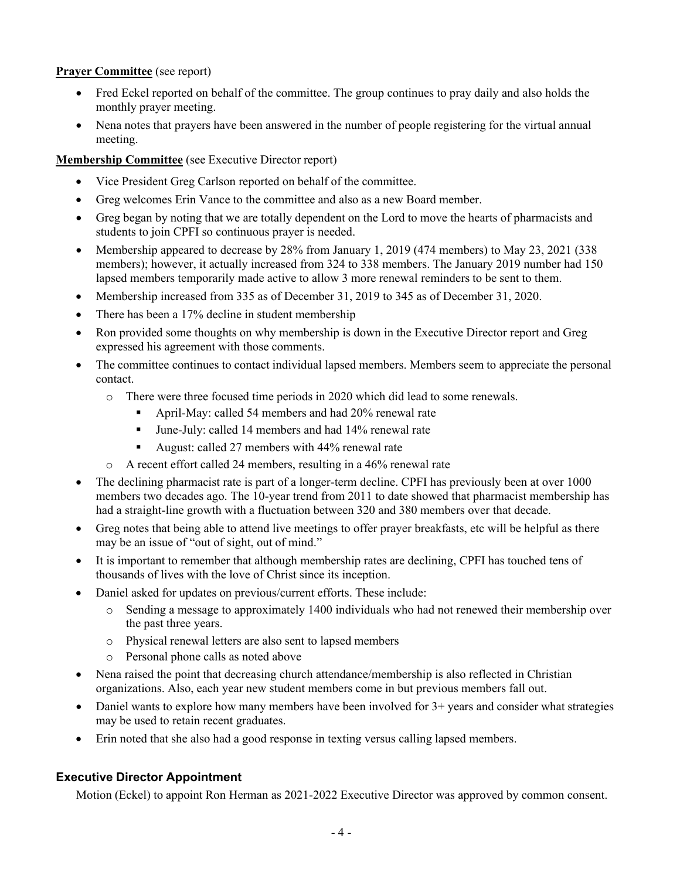## **Prayer Committee** (see report)

- Fred Eckel reported on behalf of the committee. The group continues to pray daily and also holds the monthly prayer meeting.
- Nena notes that prayers have been answered in the number of people registering for the virtual annual meeting.

### **Membership Committee** (see Executive Director report)

- Vice President Greg Carlson reported on behalf of the committee.
- Greg welcomes Erin Vance to the committee and also as a new Board member.
- Greg began by noting that we are totally dependent on the Lord to move the hearts of pharmacists and students to join CPFI so continuous prayer is needed.
- Membership appeared to decrease by 28% from January 1, 2019 (474 members) to May 23, 2021 (338 members); however, it actually increased from 324 to 338 members. The January 2019 number had 150 lapsed members temporarily made active to allow 3 more renewal reminders to be sent to them.
- Membership increased from 335 as of December 31, 2019 to 345 as of December 31, 2020.
- There has been a 17% decline in student membership
- Ron provided some thoughts on why membership is down in the Executive Director report and Greg expressed his agreement with those comments.
- The committee continues to contact individual lapsed members. Members seem to appreciate the personal contact.
	- o There were three focused time periods in 2020 which did lead to some renewals.
		- April-May: called 54 members and had 20% renewal rate
		- June-July: called 14 members and had 14% renewal rate
		- August: called 27 members with 44% renewal rate
	- o A recent effort called 24 members, resulting in a 46% renewal rate
- The declining pharmacist rate is part of a longer-term decline. CPFI has previously been at over 1000 members two decades ago. The 10-year trend from 2011 to date showed that pharmacist membership has had a straight-line growth with a fluctuation between 320 and 380 members over that decade.
- Greg notes that being able to attend live meetings to offer prayer breakfasts, etc will be helpful as there may be an issue of "out of sight, out of mind."
- It is important to remember that although membership rates are declining, CPFI has touched tens of thousands of lives with the love of Christ since its inception.
- Daniel asked for updates on previous/current efforts. These include:
	- o Sending a message to approximately 1400 individuals who had not renewed their membership over the past three years.
	- o Physical renewal letters are also sent to lapsed members
	- o Personal phone calls as noted above
- Nena raised the point that decreasing church attendance/membership is also reflected in Christian organizations. Also, each year new student members come in but previous members fall out.
- Daniel wants to explore how many members have been involved for  $3+$  years and consider what strategies may be used to retain recent graduates.
- Erin noted that she also had a good response in texting versus calling lapsed members.

# **Executive Director Appointment**

Motion (Eckel) to appoint Ron Herman as 2021-2022 Executive Director was approved by common consent.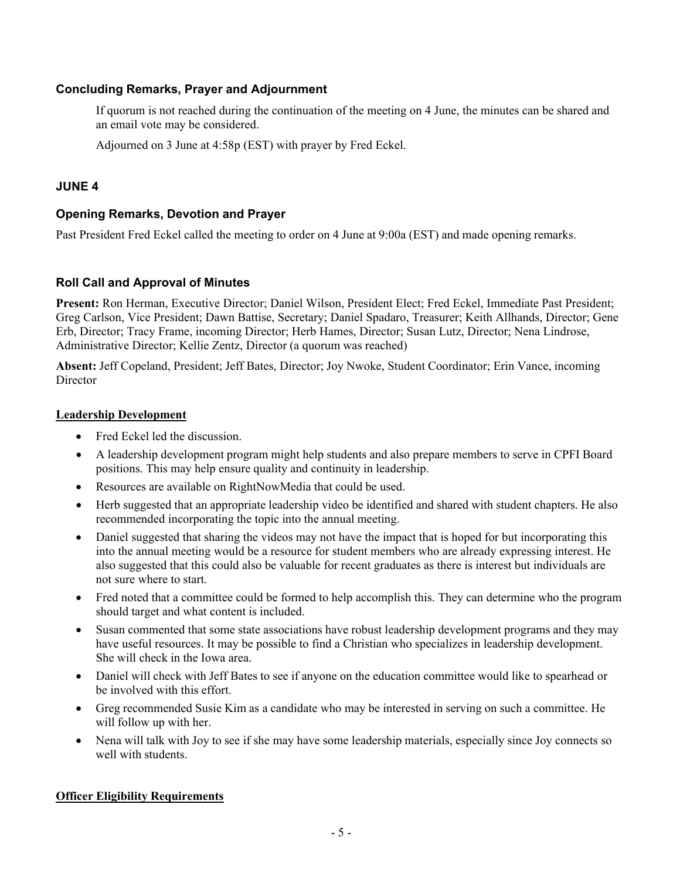## **Concluding Remarks, Prayer and Adjournment**

If quorum is not reached during the continuation of the meeting on 4 June, the minutes can be shared and an email vote may be considered.

Adjourned on 3 June at 4:58p (EST) with prayer by Fred Eckel.

### **JUNE 4**

### **Opening Remarks, Devotion and Prayer**

Past President Fred Eckel called the meeting to order on 4 June at 9:00a (EST) and made opening remarks.

### **Roll Call and Approval of Minutes**

**Present:** Ron Herman, Executive Director; Daniel Wilson, President Elect; Fred Eckel, Immediate Past President; Greg Carlson, Vice President; Dawn Battise, Secretary; Daniel Spadaro, Treasurer; Keith Allhands, Director; Gene Erb, Director; Tracy Frame, incoming Director; Herb Hames, Director; Susan Lutz, Director; Nena Lindrose, Administrative Director; Kellie Zentz, Director (a quorum was reached)

**Absent:** Jeff Copeland, President; Jeff Bates, Director; Joy Nwoke, Student Coordinator; Erin Vance, incoming **Director** 

#### **Leadership Development**

- Fred Eckel led the discussion.
- A leadership development program might help students and also prepare members to serve in CPFI Board positions. This may help ensure quality and continuity in leadership.
- Resources are available on RightNowMedia that could be used.
- Herb suggested that an appropriate leadership video be identified and shared with student chapters. He also recommended incorporating the topic into the annual meeting.
- Daniel suggested that sharing the videos may not have the impact that is hoped for but incorporating this into the annual meeting would be a resource for student members who are already expressing interest. He also suggested that this could also be valuable for recent graduates as there is interest but individuals are not sure where to start.
- Fred noted that a committee could be formed to help accomplish this. They can determine who the program should target and what content is included.
- Susan commented that some state associations have robust leadership development programs and they may have useful resources. It may be possible to find a Christian who specializes in leadership development. She will check in the Iowa area.
- Daniel will check with Jeff Bates to see if anyone on the education committee would like to spearhead or be involved with this effort.
- Greg recommended Susie Kim as a candidate who may be interested in serving on such a committee. He will follow up with her.
- Nena will talk with Joy to see if she may have some leadership materials, especially since Joy connects so well with students.

#### **Officer Eligibility Requirements**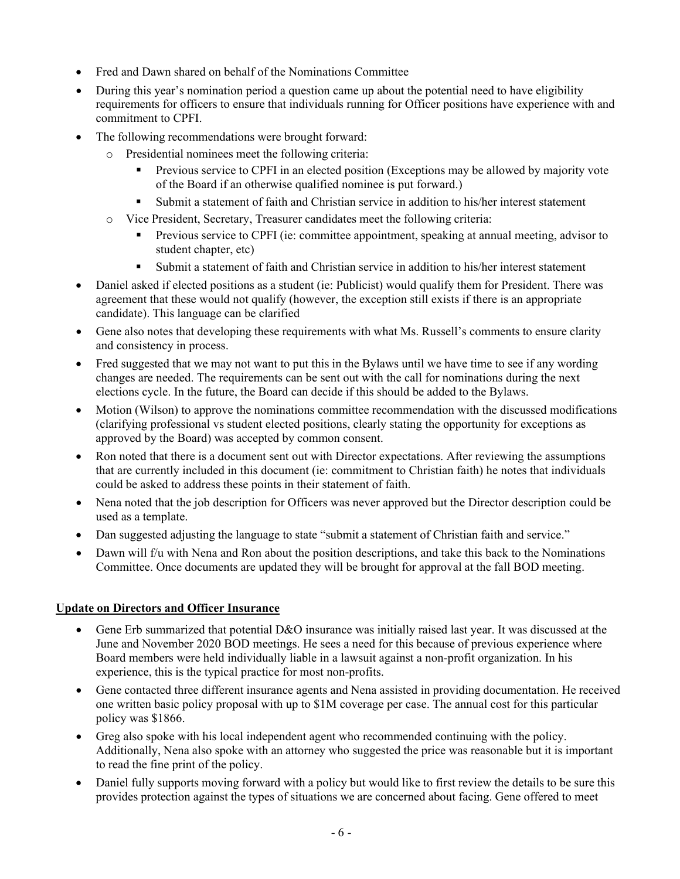- Fred and Dawn shared on behalf of the Nominations Committee
- During this year's nomination period a question came up about the potential need to have eligibility requirements for officers to ensure that individuals running for Officer positions have experience with and commitment to CPFI.
- The following recommendations were brought forward:
	- o Presidential nominees meet the following criteria:
		- Previous service to CPFI in an elected position (Exceptions may be allowed by majority vote of the Board if an otherwise qualified nominee is put forward.)
		- Submit a statement of faith and Christian service in addition to his/her interest statement
	- o Vice President, Secretary, Treasurer candidates meet the following criteria:
		- Previous service to CPFI (ie: committee appointment, speaking at annual meeting, advisor to student chapter, etc)
		- Submit a statement of faith and Christian service in addition to his/her interest statement
- Daniel asked if elected positions as a student (ie: Publicist) would qualify them for President. There was agreement that these would not qualify (however, the exception still exists if there is an appropriate candidate). This language can be clarified
- Gene also notes that developing these requirements with what Ms. Russell's comments to ensure clarity and consistency in process.
- Fred suggested that we may not want to put this in the Bylaws until we have time to see if any wording changes are needed. The requirements can be sent out with the call for nominations during the next elections cycle. In the future, the Board can decide if this should be added to the Bylaws.
- Motion (Wilson) to approve the nominations committee recommendation with the discussed modifications (clarifying professional vs student elected positions, clearly stating the opportunity for exceptions as approved by the Board) was accepted by common consent.
- Ron noted that there is a document sent out with Director expectations. After reviewing the assumptions that are currently included in this document (ie: commitment to Christian faith) he notes that individuals could be asked to address these points in their statement of faith.
- Nena noted that the job description for Officers was never approved but the Director description could be used as a template.
- Dan suggested adjusting the language to state "submit a statement of Christian faith and service."
- Dawn will f/u with Nena and Ron about the position descriptions, and take this back to the Nominations Committee. Once documents are updated they will be brought for approval at the fall BOD meeting.

## **Update on Directors and Officer Insurance**

- Gene Erb summarized that potential D&O insurance was initially raised last year. It was discussed at the June and November 2020 BOD meetings. He sees a need for this because of previous experience where Board members were held individually liable in a lawsuit against a non-profit organization. In his experience, this is the typical practice for most non-profits.
- Gene contacted three different insurance agents and Nena assisted in providing documentation. He received one written basic policy proposal with up to \$1M coverage per case. The annual cost for this particular policy was \$1866.
- Greg also spoke with his local independent agent who recommended continuing with the policy. Additionally, Nena also spoke with an attorney who suggested the price was reasonable but it is important to read the fine print of the policy.
- Daniel fully supports moving forward with a policy but would like to first review the details to be sure this provides protection against the types of situations we are concerned about facing. Gene offered to meet